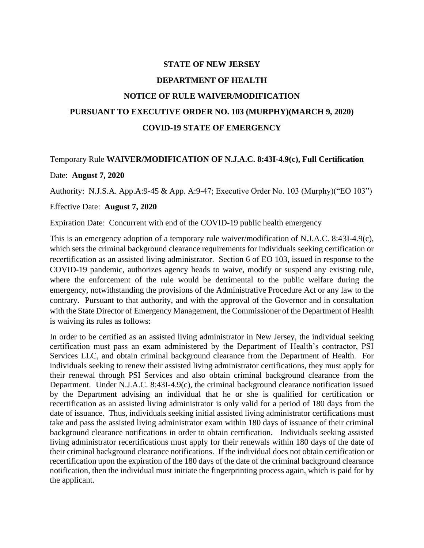## **STATE OF NEW JERSEY DEPARTMENT OF HEALTH NOTICE OF RULE WAIVER/MODIFICATION PURSUANT TO EXECUTIVE ORDER NO. 103 (MURPHY)(MARCH 9, 2020) COVID-19 STATE OF EMERGENCY**

## Temporary Rule **WAIVER/MODIFICATION OF N.J.A.C. 8:43I-4.9(c), Full Certification** Date: **August 7, 2020**

Authority: N.J.S.A. App.A:9-45 & App. A:9-47; Executive Order No. 103 (Murphy)("EO 103")

## Effective Date: **August 7, 2020**

Expiration Date: Concurrent with end of the COVID-19 public health emergency

This is an emergency adoption of a temporary rule waiver/modification of N.J.A.C. 8:43I-4.9(c), which sets the criminal background clearance requirements for individuals seeking certification or recertification as an assisted living administrator. Section 6 of EO 103, issued in response to the COVID-19 pandemic, authorizes agency heads to waive, modify or suspend any existing rule, where the enforcement of the rule would be detrimental to the public welfare during the emergency, notwithstanding the provisions of the Administrative Procedure Act or any law to the contrary. Pursuant to that authority, and with the approval of the Governor and in consultation with the State Director of Emergency Management, the Commissioner of the Department of Health is waiving its rules as follows:

In order to be certified as an assisted living administrator in New Jersey, the individual seeking certification must pass an exam administered by the Department of Health's contractor, PSI Services LLC, and obtain criminal background clearance from the Department of Health. For individuals seeking to renew their assisted living administrator certifications, they must apply for their renewal through PSI Services and also obtain criminal background clearance from the Department. Under N.J.A.C. 8:43I-4.9(c), the criminal background clearance notification issued by the Department advising an individual that he or she is qualified for certification or recertification as an assisted living administrator is only valid for a period of 180 days from the date of issuance. Thus, individuals seeking initial assisted living administrator certifications must take and pass the assisted living administrator exam within 180 days of issuance of their criminal background clearance notifications in order to obtain certification. Individuals seeking assisted living administrator recertifications must apply for their renewals within 180 days of the date of their criminal background clearance notifications. If the individual does not obtain certification or recertification upon the expiration of the 180 days of the date of the criminal background clearance notification, then the individual must initiate the fingerprinting process again, which is paid for by the applicant.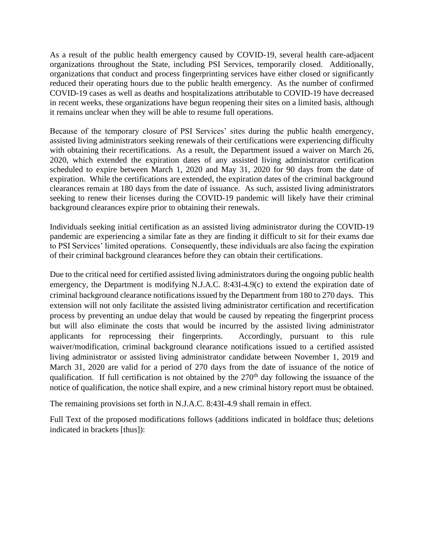As a result of the public health emergency caused by COVID-19, several health care-adjacent organizations throughout the State, including PSI Services, temporarily closed. Additionally, organizations that conduct and process fingerprinting services have either closed or significantly reduced their operating hours due to the public health emergency. As the number of confirmed COVID-19 cases as well as deaths and hospitalizations attributable to COVID-19 have decreased in recent weeks, these organizations have begun reopening their sites on a limited basis, although it remains unclear when they will be able to resume full operations.

Because of the temporary closure of PSI Services' sites during the public health emergency, assisted living administrators seeking renewals of their certifications were experiencing difficulty with obtaining their recertifications. As a result, the Department issued a waiver on March 26, 2020, which extended the expiration dates of any assisted living administrator certification scheduled to expire between March 1, 2020 and May 31, 2020 for 90 days from the date of expiration. While the certifications are extended, the expiration dates of the criminal background clearances remain at 180 days from the date of issuance. As such, assisted living administrators seeking to renew their licenses during the COVID-19 pandemic will likely have their criminal background clearances expire prior to obtaining their renewals.

Individuals seeking initial certification as an assisted living administrator during the COVID-19 pandemic are experiencing a similar fate as they are finding it difficult to sit for their exams due to PSI Services' limited operations. Consequently, these individuals are also facing the expiration of their criminal background clearances before they can obtain their certifications.

Due to the critical need for certified assisted living administrators during the ongoing public health emergency, the Department is modifying N.J.A.C. 8:43I-4.9(c) to extend the expiration date of criminal background clearance notifications issued by the Department from 180 to 270 days. This extension will not only facilitate the assisted living administrator certification and recertification process by preventing an undue delay that would be caused by repeating the fingerprint process but will also eliminate the costs that would be incurred by the assisted living administrator applicants for reprocessing their fingerprints. Accordingly, pursuant to this rule waiver/modification, criminal background clearance notifications issued to a certified assisted living administrator or assisted living administrator candidate between November 1, 2019 and March 31, 2020 are valid for a period of 270 days from the date of issuance of the notice of qualification. If full certification is not obtained by the  $270<sup>th</sup>$  day following the issuance of the notice of qualification, the notice shall expire, and a new criminal history report must be obtained.

The remaining provisions set forth in N.J.A.C. 8:43I-4.9 shall remain in effect.

Full Text of the proposed modifications follows (additions indicated in boldface thus; deletions indicated in brackets [thus]):